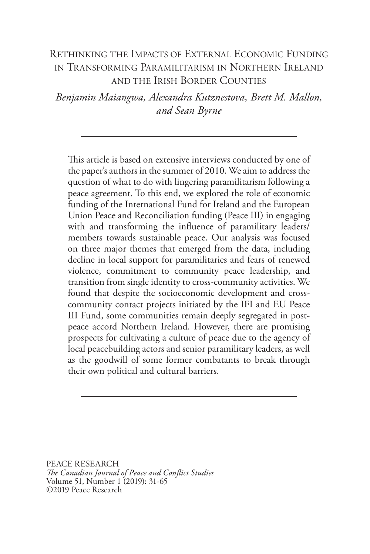# RETHINKING THE IMPACTS OF EXTERNAL ECONOMIC FUNDING IN TRANSFORMING PARAMILITARISM IN NORTHERN IRELAND AND THE IRISH BORDER COUNTIES

*Benjamin Maiangwa, Alexandra Kutznestova, Brett M. Mallon, and Sean Byrne*

This article is based on extensive interviews conducted by one of the paper's authors in the summer of 2010. We aim to address the question of what to do with lingering paramilitarism following a peace agreement. To this end, we explored the role of economic funding of the International Fund for Ireland and the European Union Peace and Reconciliation funding (Peace III) in engaging with and transforming the influence of paramilitary leaders/ members towards sustainable peace. Our analysis was focused on three major themes that emerged from the data, including decline in local support for paramilitaries and fears of renewed violence, commitment to community peace leadership, and transition from single identity to cross-community activities. We found that despite the socioeconomic development and crosscommunity contact projects initiated by the IFI and EU Peace III Fund, some communities remain deeply segregated in postpeace accord Northern Ireland. However, there are promising prospects for cultivating a culture of peace due to the agency of local peacebuilding actors and senior paramilitary leaders, as well as the goodwill of some former combatants to break through their own political and cultural barriers.

PEACE RESEARCH *The Canadian Journal of Peace and Conflict Studies* Volume 51, Number 1 (2019): 31-65 ©2019 Peace Research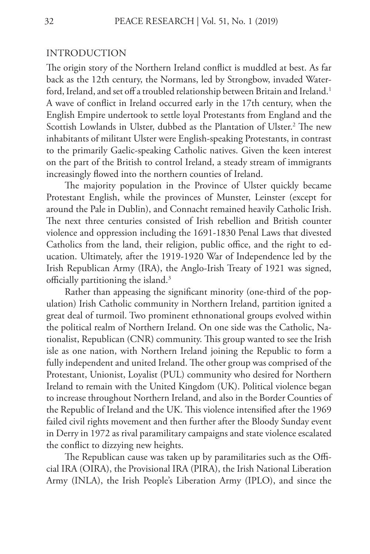#### INTRODUCTION

The origin story of the Northern Ireland conflict is muddled at best. As far back as the 12th century, the Normans, led by Strongbow, invaded Waterford, Ireland, and set off a troubled relationship between Britain and Ireland.<sup>1</sup> A wave of conflict in Ireland occurred early in the 17th century, when the English Empire undertook to settle loyal Protestants from England and the Scottish Lowlands in Ulster, dubbed as the Plantation of Ulster.<sup>2</sup> The new inhabitants of militant Ulster were English-speaking Protestants, in contrast to the primarily Gaelic-speaking Catholic natives. Given the keen interest on the part of the British to control Ireland, a steady stream of immigrants increasingly flowed into the northern counties of Ireland.

The majority population in the Province of Ulster quickly became Protestant English, while the provinces of Munster, Leinster (except for around the Pale in Dublin), and Connacht remained heavily Catholic Irish. The next three centuries consisted of Irish rebellion and British counter violence and oppression including the 1691-1830 Penal Laws that divested Catholics from the land, their religion, public office, and the right to education. Ultimately, after the 1919-1920 War of Independence led by the Irish Republican Army (IRA), the Anglo-Irish Treaty of 1921 was signed, officially partitioning the island.3

Rather than appeasing the significant minority (one-third of the population) Irish Catholic community in Northern Ireland, partition ignited a great deal of turmoil. Two prominent ethnonational groups evolved within the political realm of Northern Ireland. On one side was the Catholic, Nationalist, Republican (CNR) community. This group wanted to see the Irish isle as one nation, with Northern Ireland joining the Republic to form a fully independent and united Ireland. The other group was comprised of the Protestant, Unionist, Loyalist (PUL) community who desired for Northern Ireland to remain with the United Kingdom (UK). Political violence began to increase throughout Northern Ireland, and also in the Border Counties of the Republic of Ireland and the UK. This violence intensified after the 1969 failed civil rights movement and then further after the Bloody Sunday event in Derry in 1972 as rival paramilitary campaigns and state violence escalated the conflict to dizzying new heights.

The Republican cause was taken up by paramilitaries such as the Official IRA (OIRA), the Provisional IRA (PIRA), the Irish National Liberation Army (INLA), the Irish People's Liberation Army (IPLO), and since the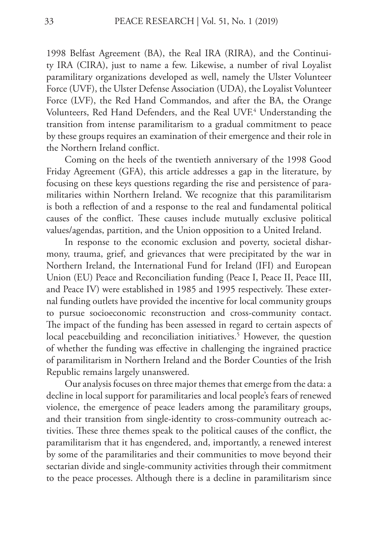1998 Belfast Agreement (BA), the Real IRA (RIRA), and the Continuity IRA (CIRA), just to name a few. Likewise, a number of rival Loyalist paramilitary organizations developed as well, namely the Ulster Volunteer Force (UVF), the Ulster Defense Association (UDA), the Loyalist Volunteer Force (LVF), the Red Hand Commandos, and after the BA, the Orange Volunteers, Red Hand Defenders, and the Real UVF.<sup>4</sup> Understanding the transition from intense paramilitarism to a gradual commitment to peace by these groups requires an examination of their emergence and their role in the Northern Ireland conflict.

Coming on the heels of the twentieth anniversary of the 1998 Good Friday Agreement (GFA), this article addresses a gap in the literature, by focusing on these keys questions regarding the rise and persistence of paramilitaries within Northern Ireland. We recognize that this paramilitarism is both a reflection of and a response to the real and fundamental political causes of the conflict. These causes include mutually exclusive political values/agendas, partition, and the Union opposition to a United Ireland.

In response to the economic exclusion and poverty, societal disharmony, trauma, grief, and grievances that were precipitated by the war in Northern Ireland, the International Fund for Ireland (IFI) and European Union (EU) Peace and Reconciliation funding (Peace I, Peace II, Peace III, and Peace IV) were established in 1985 and 1995 respectively. These external funding outlets have provided the incentive for local community groups to pursue socioeconomic reconstruction and cross-community contact. The impact of the funding has been assessed in regard to certain aspects of local peacebuilding and reconciliation initiatives.<sup>5</sup> However, the question of whether the funding was effective in challenging the ingrained practice of paramilitarism in Northern Ireland and the Border Counties of the Irish Republic remains largely unanswered.

Our analysis focuses on three major themes that emerge from the data: a decline in local support for paramilitaries and local people's fears of renewed violence, the emergence of peace leaders among the paramilitary groups, and their transition from single-identity to cross-community outreach activities. These three themes speak to the political causes of the conflict, the paramilitarism that it has engendered, and, importantly, a renewed interest by some of the paramilitaries and their communities to move beyond their sectarian divide and single-community activities through their commitment to the peace processes. Although there is a decline in paramilitarism since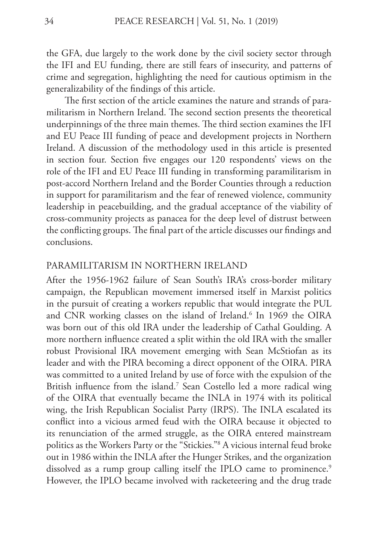the GFA, due largely to the work done by the civil society sector through the IFI and EU funding, there are still fears of insecurity, and patterns of crime and segregation, highlighting the need for cautious optimism in the generalizability of the findings of this article.

The first section of the article examines the nature and strands of paramilitarism in Northern Ireland. The second section presents the theoretical underpinnings of the three main themes. The third section examines the IFI and EU Peace III funding of peace and development projects in Northern Ireland. A discussion of the methodology used in this article is presented in section four. Section five engages our 120 respondents' views on the role of the IFI and EU Peace III funding in transforming paramilitarism in post-accord Northern Ireland and the Border Counties through a reduction in support for paramilitarism and the fear of renewed violence, community leadership in peacebuilding, and the gradual acceptance of the viability of cross-community projects as panacea for the deep level of distrust between the conflicting groups. The final part of the article discusses our findings and conclusions.

### PARAMILITARISM IN NORTHERN IRELAND

After the 1956-1962 failure of Sean South's IRA's cross-border military campaign, the Republican movement immersed itself in Marxist politics in the pursuit of creating a workers republic that would integrate the PUL and CNR working classes on the island of Ireland.<sup>6</sup> In 1969 the OIRA was born out of this old IRA under the leadership of Cathal Goulding. A more northern influence created a split within the old IRA with the smaller robust Provisional IRA movement emerging with Sean McStiofan as its leader and with the PIRA becoming a direct opponent of the OIRA. PIRA was committed to a united Ireland by use of force with the expulsion of the British influence from the island.<sup>7</sup> Sean Costello led a more radical wing of the OIRA that eventually became the INLA in 1974 with its political wing, the Irish Republican Socialist Party (IRPS). The INLA escalated its conflict into a vicious armed feud with the OIRA because it objected to its renunciation of the armed struggle, as the OIRA entered mainstream politics as the Workers Party or the "Stickies."8 A vicious internal feud broke out in 1986 within the INLA after the Hunger Strikes, and the organization dissolved as a rump group calling itself the IPLO came to prominence.<sup>9</sup> However, the IPLO became involved with racketeering and the drug trade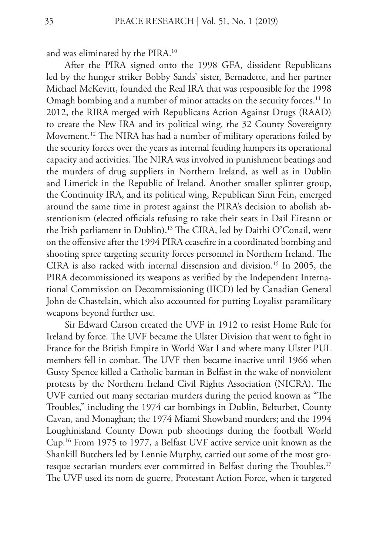and was eliminated by the PIRA.10

After the PIRA signed onto the 1998 GFA, dissident Republicans led by the hunger striker Bobby Sands' sister, Bernadette, and her partner Michael McKevitt, founded the Real IRA that was responsible for the 1998 Omagh bombing and a number of minor attacks on the security forces.<sup>11</sup> In 2012, the RIRA merged with Republicans Action Against Drugs (RAAD) to create the New IRA and its political wing, the 32 County Sovereignty Movement.<sup>12</sup> The NIRA has had a number of military operations foiled by the security forces over the years as internal feuding hampers its operational capacity and activities. The NIRA was involved in punishment beatings and the murders of drug suppliers in Northern Ireland, as well as in Dublin and Limerick in the Republic of Ireland. Another smaller splinter group, the Continuity IRA, and its political wing, Republican Sinn Fein, emerged around the same time in protest against the PIRA's decision to abolish abstentionism (elected officials refusing to take their seats in Dail Eireann or the Irish parliament in Dublin).13 The CIRA, led by Daithi O'Conail, went on the offensive after the 1994 PIRA ceasefire in a coordinated bombing and shooting spree targeting security forces personnel in Northern Ireland. The CIRA is also racked with internal dissension and division.15 In 2005, the PIRA decommissioned its weapons as verified by the Independent International Commission on Decommissioning (IICD) led by Canadian General John de Chastelain, which also accounted for putting Loyalist paramilitary weapons beyond further use.

Sir Edward Carson created the UVF in 1912 to resist Home Rule for Ireland by force. The UVF became the Ulster Division that went to fight in France for the British Empire in World War I and where many Ulster PUL members fell in combat. The UVF then became inactive until 1966 when Gusty Spence killed a Catholic barman in Belfast in the wake of nonviolent protests by the Northern Ireland Civil Rights Association (NICRA). The UVF carried out many sectarian murders during the period known as "The Troubles," including the 1974 car bombings in Dublin, Belturbet, County Cavan, and Monaghan; the 1974 Miami Showband murders; and the 1994 Loughinisland County Down pub shootings during the football World Cup.16 From 1975 to 1977, a Belfast UVF active service unit known as the Shankill Butchers led by Lennie Murphy, carried out some of the most grotesque sectarian murders ever committed in Belfast during the Troubles.<sup>17</sup> The UVF used its nom de guerre, Protestant Action Force, when it targeted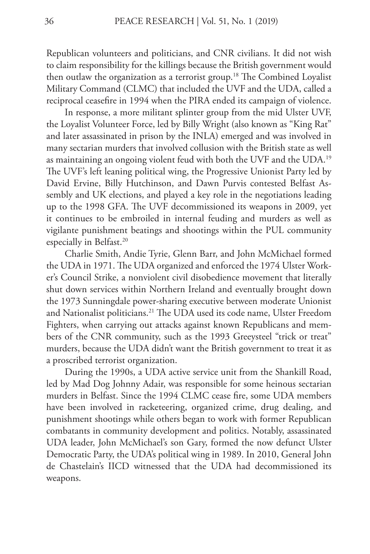Republican volunteers and politicians, and CNR civilians. It did not wish to claim responsibility for the killings because the British government would then outlaw the organization as a terrorist group.<sup>18</sup> The Combined Loyalist Military Command (CLMC) that included the UVF and the UDA, called a reciprocal ceasefire in 1994 when the PIRA ended its campaign of violence.

In response, a more militant splinter group from the mid Ulster UVF, the Loyalist Volunteer Force, led by Billy Wright (also known as "King Rat" and later assassinated in prison by the INLA) emerged and was involved in many sectarian murders that involved collusion with the British state as well as maintaining an ongoing violent feud with both the UVF and the UDA.19 The UVF's left leaning political wing, the Progressive Unionist Party led by David Ervine, Billy Hutchinson, and Dawn Purvis contested Belfast Assembly and UK elections, and played a key role in the negotiations leading up to the 1998 GFA. The UVF decommissioned its weapons in 2009, yet it continues to be embroiled in internal feuding and murders as well as vigilante punishment beatings and shootings within the PUL community especially in Belfast.<sup>20</sup>

Charlie Smith, Andie Tyrie, Glenn Barr, and John McMichael formed the UDA in 1971. The UDA organized and enforced the 1974 Ulster Worker's Council Strike, a nonviolent civil disobedience movement that literally shut down services within Northern Ireland and eventually brought down the 1973 Sunningdale power-sharing executive between moderate Unionist and Nationalist politicians.21 The UDA used its code name, Ulster Freedom Fighters, when carrying out attacks against known Republicans and members of the CNR community, such as the 1993 Greeysteel "trick or treat" murders, because the UDA didn't want the British government to treat it as a proscribed terrorist organization.

During the 1990s, a UDA active service unit from the Shankill Road, led by Mad Dog Johnny Adair, was responsible for some heinous sectarian murders in Belfast. Since the 1994 CLMC cease fire, some UDA members have been involved in racketeering, organized crime, drug dealing, and punishment shootings while others began to work with former Republican combatants in community development and politics. Notably, assassinated UDA leader, John McMichael's son Gary, formed the now defunct Ulster Democratic Party, the UDA's political wing in 1989. In 2010, General John de Chastelain's IICD witnessed that the UDA had decommissioned its weapons.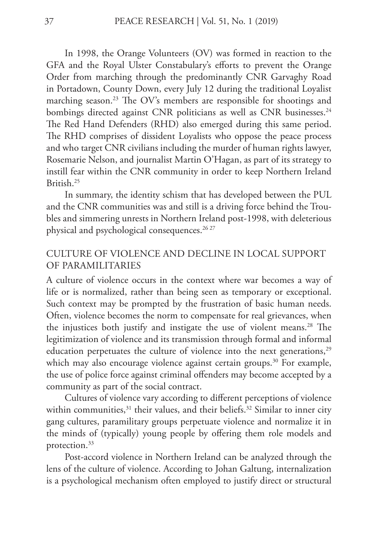In 1998, the Orange Volunteers (OV) was formed in reaction to the GFA and the Royal Ulster Constabulary's efforts to prevent the Orange Order from marching through the predominantly CNR Garvaghy Road in Portadown, County Down, every July 12 during the traditional Loyalist marching season.<sup>23</sup> The OV's members are responsible for shootings and bombings directed against CNR politicians as well as CNR businesses.<sup>24</sup> The Red Hand Defenders (RHD) also emerged during this same period. The RHD comprises of dissident Loyalists who oppose the peace process and who target CNR civilians including the murder of human rights lawyer, Rosemarie Nelson, and journalist Martin O'Hagan, as part of its strategy to instill fear within the CNR community in order to keep Northern Ireland British<sup>25</sup>

In summary, the identity schism that has developed between the PUL and the CNR communities was and still is a driving force behind the Troubles and simmering unrests in Northern Ireland post-1998, with deleterious physical and psychological consequences.<sup>26 27</sup>

# CULTURE OF VIOLENCE AND DECLINE IN LOCAL SUPPORT OF PARAMILITARIES

A culture of violence occurs in the context where war becomes a way of life or is normalized, rather than being seen as temporary or exceptional. Such context may be prompted by the frustration of basic human needs. Often, violence becomes the norm to compensate for real grievances, when the injustices both justify and instigate the use of violent means.<sup>28</sup> The legitimization of violence and its transmission through formal and informal education perpetuates the culture of violence into the next generations,<sup>29</sup> which may also encourage violence against certain groups.<sup>30</sup> For example, the use of police force against criminal offenders may become accepted by a community as part of the social contract.

Cultures of violence vary according to different perceptions of violence within communities, $31$  their values, and their beliefs.<sup>32</sup> Similar to inner city gang cultures, paramilitary groups perpetuate violence and normalize it in the minds of (typically) young people by offering them role models and protection.33

Post-accord violence in Northern Ireland can be analyzed through the lens of the culture of violence. According to Johan Galtung, internalization is a psychological mechanism often employed to justify direct or structural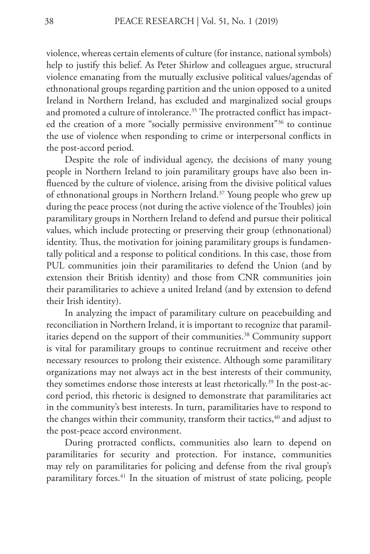violence, whereas certain elements of culture (for instance, national symbols) help to justify this belief. As Peter Shirlow and colleagues argue, structural violence emanating from the mutually exclusive political values/agendas of ethnonational groups regarding partition and the union opposed to a united Ireland in Northern Ireland, has excluded and marginalized social groups and promoted a culture of intolerance.<sup>35</sup> The protracted conflict has impacted the creation of a more "socially permissive environment"<sup>36</sup> to continue the use of violence when responding to crime or interpersonal conflicts in the post-accord period.

Despite the role of individual agency, the decisions of many young people in Northern Ireland to join paramilitary groups have also been influenced by the culture of violence, arising from the divisive political values of ethnonational groups in Northern Ireland.<sup>37</sup> Young people who grew up during the peace process (not during the active violence of the Troubles) join paramilitary groups in Northern Ireland to defend and pursue their political values, which include protecting or preserving their group (ethnonational) identity. Thus, the motivation for joining paramilitary groups is fundamentally political and a response to political conditions. In this case, those from PUL communities join their paramilitaries to defend the Union (and by extension their British identity) and those from CNR communities join their paramilitaries to achieve a united Ireland (and by extension to defend their Irish identity).

In analyzing the impact of paramilitary culture on peacebuilding and reconciliation in Northern Ireland, it is important to recognize that paramilitaries depend on the support of their communities.<sup>38</sup> Community support is vital for paramilitary groups to continue recruitment and receive other necessary resources to prolong their existence. Although some paramilitary organizations may not always act in the best interests of their community, they sometimes endorse those interests at least rhetorically.<sup>39</sup> In the post-accord period, this rhetoric is designed to demonstrate that paramilitaries act in the community's best interests. In turn, paramilitaries have to respond to the changes within their community, transform their tactics,<sup>40</sup> and adjust to the post-peace accord environment.

During protracted conflicts, communities also learn to depend on paramilitaries for security and protection. For instance, communities may rely on paramilitaries for policing and defense from the rival group's paramilitary forces.<sup>41</sup> In the situation of mistrust of state policing, people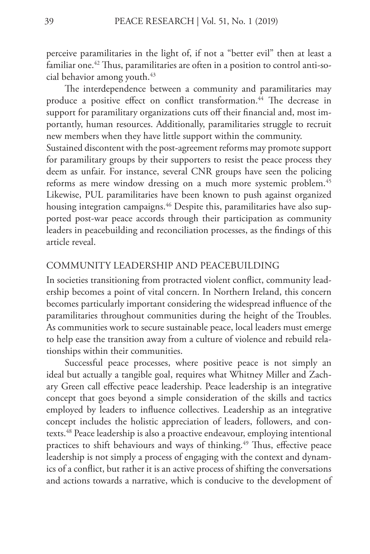perceive paramilitaries in the light of, if not a "better evil" then at least a familiar one.<sup>42</sup> Thus, paramilitaries are often in a position to control anti-social behavior among youth.<sup>43</sup>

The interdependence between a community and paramilitaries may produce a positive effect on conflict transformation.<sup>44</sup> The decrease in support for paramilitary organizations cuts off their financial and, most importantly, human resources. Additionally, paramilitaries struggle to recruit new members when they have little support within the community.

Sustained discontent with the post-agreement reforms may promote support for paramilitary groups by their supporters to resist the peace process they deem as unfair. For instance, several CNR groups have seen the policing reforms as mere window dressing on a much more systemic problem.<sup>45</sup> Likewise, PUL paramilitaries have been known to push against organized housing integration campaigns.<sup>46</sup> Despite this, paramilitaries have also supported post-war peace accords through their participation as community leaders in peacebuilding and reconciliation processes, as the findings of this article reveal.

#### COMMUNITY LEADERSHIP AND PEACEBUILDING

In societies transitioning from protracted violent conflict, community leadership becomes a point of vital concern. In Northern Ireland, this concern becomes particularly important considering the widespread influence of the paramilitaries throughout communities during the height of the Troubles. As communities work to secure sustainable peace, local leaders must emerge to help ease the transition away from a culture of violence and rebuild relationships within their communities.

Successful peace processes, where positive peace is not simply an ideal but actually a tangible goal, requires what Whitney Miller and Zachary Green call effective peace leadership. Peace leadership is an integrative concept that goes beyond a simple consideration of the skills and tactics employed by leaders to influence collectives. Leadership as an integrative concept includes the holistic appreciation of leaders, followers, and contexts.<sup>48</sup> Peace leadership is also a proactive endeavour, employing intentional practices to shift behaviours and ways of thinking.<sup>49</sup> Thus, effective peace leadership is not simply a process of engaging with the context and dynamics of a conflict, but rather it is an active process of shifting the conversations and actions towards a narrative, which is conducive to the development of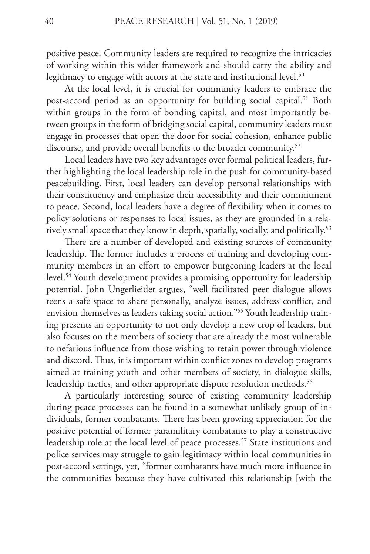positive peace. Community leaders are required to recognize the intricacies of working within this wider framework and should carry the ability and legitimacy to engage with actors at the state and institutional level.<sup>50</sup>

At the local level, it is crucial for community leaders to embrace the post-accord period as an opportunity for building social capital.<sup>51</sup> Both within groups in the form of bonding capital, and most importantly between groups in the form of bridging social capital, community leaders must engage in processes that open the door for social cohesion, enhance public discourse, and provide overall benefits to the broader community.<sup>52</sup>

Local leaders have two key advantages over formal political leaders, further highlighting the local leadership role in the push for community-based peacebuilding. First, local leaders can develop personal relationships with their constituency and emphasize their accessibility and their commitment to peace. Second, local leaders have a degree of flexibility when it comes to policy solutions or responses to local issues, as they are grounded in a relatively small space that they know in depth, spatially, socially, and politically.<sup>53</sup>

There are a number of developed and existing sources of community leadership. The former includes a process of training and developing community members in an effort to empower burgeoning leaders at the local level.54 Youth development provides a promising opportunity for leadership potential. John Ungerlieider argues, "well facilitated peer dialogue allows teens a safe space to share personally, analyze issues, address conflict, and envision themselves as leaders taking social action."55 Youth leadership training presents an opportunity to not only develop a new crop of leaders, but also focuses on the members of society that are already the most vulnerable to nefarious influence from those wishing to retain power through violence and discord. Thus, it is important within conflict zones to develop programs aimed at training youth and other members of society, in dialogue skills, leadership tactics, and other appropriate dispute resolution methods.<sup>56</sup>

A particularly interesting source of existing community leadership during peace processes can be found in a somewhat unlikely group of individuals, former combatants. There has been growing appreciation for the positive potential of former paramilitary combatants to play a constructive leadership role at the local level of peace processes.<sup>57</sup> State institutions and police services may struggle to gain legitimacy within local communities in post-accord settings, yet, "former combatants have much more influence in the communities because they have cultivated this relationship [with the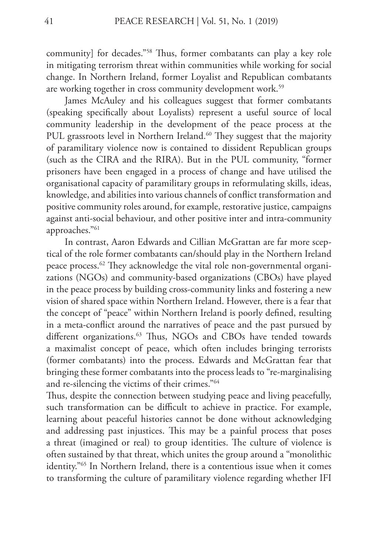community] for decades."58 Thus, former combatants can play a key role in mitigating terrorism threat within communities while working for social change. In Northern Ireland, former Loyalist and Republican combatants are working together in cross community development work.<sup>59</sup>

James McAuley and his colleagues suggest that former combatants (speaking specifically about Loyalists) represent a useful source of local community leadership in the development of the peace process at the PUL grassroots level in Northern Ireland.<sup>60</sup> They suggest that the majority of paramilitary violence now is contained to dissident Republican groups (such as the CIRA and the RIRA). But in the PUL community, "former prisoners have been engaged in a process of change and have utilised the organisational capacity of paramilitary groups in reformulating skills, ideas, knowledge, and abilities into various channels of conflict transformation and positive community roles around, for example, restorative justice, campaigns against anti-social behaviour, and other positive inter and intra-community approaches."61

In contrast, Aaron Edwards and Cillian McGrattan are far more sceptical of the role former combatants can/should play in the Northern Ireland peace process.62 They acknowledge the vital role non-governmental organizations (NGOs) and community-based organizations (CBOs) have played in the peace process by building cross-community links and fostering a new vision of shared space within Northern Ireland. However, there is a fear that the concept of "peace" within Northern Ireland is poorly defined, resulting in a meta-conflict around the narratives of peace and the past pursued by different organizations.<sup>63</sup> Thus, NGOs and CBOs have tended towards a maximalist concept of peace, which often includes bringing terrorists (former combatants) into the process. Edwards and McGrattan fear that bringing these former combatants into the process leads to "re-marginalising and re-silencing the victims of their crimes."64

Thus, despite the connection between studying peace and living peacefully, such transformation can be difficult to achieve in practice. For example, learning about peaceful histories cannot be done without acknowledging and addressing past injustices. This may be a painful process that poses a threat (imagined or real) to group identities. The culture of violence is often sustained by that threat, which unites the group around a "monolithic identity."65 In Northern Ireland, there is a contentious issue when it comes to transforming the culture of paramilitary violence regarding whether IFI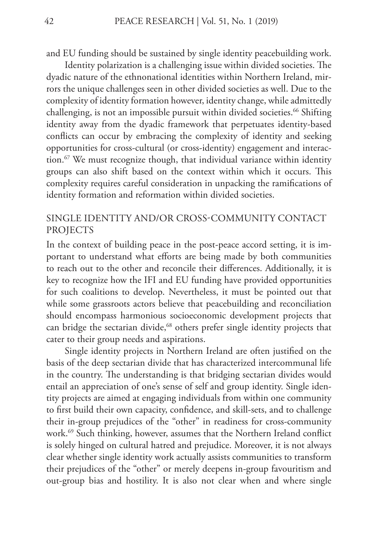and EU funding should be sustained by single identity peacebuilding work.

Identity polarization is a challenging issue within divided societies. The dyadic nature of the ethnonational identities within Northern Ireland, mirrors the unique challenges seen in other divided societies as well. Due to the complexity of identity formation however, identity change, while admittedly challenging, is not an impossible pursuit within divided societies.<sup>66</sup> Shifting identity away from the dyadic framework that perpetuates identity-based conflicts can occur by embracing the complexity of identity and seeking opportunities for cross-cultural (or cross-identity) engagement and interaction.<sup>67</sup> We must recognize though, that individual variance within identity groups can also shift based on the context within which it occurs. This complexity requires careful consideration in unpacking the ramifications of identity formation and reformation within divided societies.

# SINGLE IDENTITY AND/OR CROSS-COMMUNITY CONTACT PROJECTS

In the context of building peace in the post-peace accord setting, it is important to understand what efforts are being made by both communities to reach out to the other and reconcile their differences. Additionally, it is key to recognize how the IFI and EU funding have provided opportunities for such coalitions to develop. Nevertheless, it must be pointed out that while some grassroots actors believe that peacebuilding and reconciliation should encompass harmonious socioeconomic development projects that can bridge the sectarian divide,<sup>68</sup> others prefer single identity projects that cater to their group needs and aspirations.

Single identity projects in Northern Ireland are often justified on the basis of the deep sectarian divide that has characterized intercommunal life in the country. The understanding is that bridging sectarian divides would entail an appreciation of one's sense of self and group identity. Single identity projects are aimed at engaging individuals from within one community to first build their own capacity, confidence, and skill-sets, and to challenge their in-group prejudices of the "other" in readiness for cross-community work.69 Such thinking, however, assumes that the Northern Ireland conflict is solely hinged on cultural hatred and prejudice. Moreover, it is not always clear whether single identity work actually assists communities to transform their prejudices of the "other" or merely deepens in-group favouritism and out-group bias and hostility. It is also not clear when and where single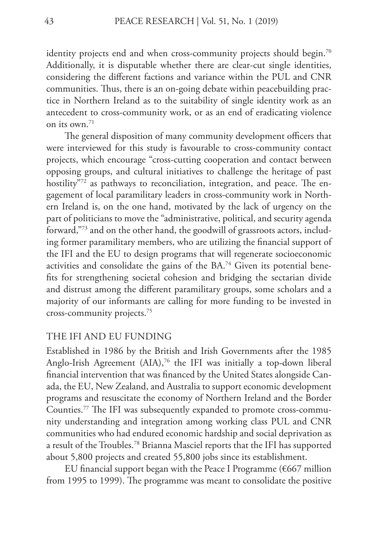identity projects end and when cross-community projects should begin.<sup>70</sup> Additionally, it is disputable whether there are clear-cut single identities, considering the different factions and variance within the PUL and CNR communities. Thus, there is an on-going debate within peacebuilding practice in Northern Ireland as to the suitability of single identity work as an antecedent to cross-community work, or as an end of eradicating violence on its own  $71$ 

The general disposition of many community development officers that were interviewed for this study is favourable to cross-community contact projects, which encourage "cross-cutting cooperation and contact between opposing groups, and cultural initiatives to challenge the heritage of past hostility"<sup>72</sup> as pathways to reconciliation, integration, and peace. The engagement of local paramilitary leaders in cross-community work in Northern Ireland is, on the one hand, motivated by the lack of urgency on the part of politicians to move the "administrative, political, and security agenda forward,"73 and on the other hand, the goodwill of grassroots actors, including former paramilitary members, who are utilizing the financial support of the IFI and the EU to design programs that will regenerate socioeconomic activities and consolidate the gains of the BA.74 Given its potential benefits for strengthening societal cohesion and bridging the sectarian divide and distrust among the different paramilitary groups, some scholars and a majority of our informants are calling for more funding to be invested in cross-community projects.75

### THE IFI AND EU FUNDING

Established in 1986 by the British and Irish Governments after the 1985 Anglo-Irish Agreement  $(AIA)^{76}$  the IFI was initially a top-down liberal financial intervention that was financed by the United States alongside Canada, the EU, New Zealand, and Australia to support economic development programs and resuscitate the economy of Northern Ireland and the Border Counties.77 The IFI was subsequently expanded to promote cross-community understanding and integration among working class PUL and CNR communities who had endured economic hardship and social deprivation as a result of the Troubles.78 Brianna Masciel reports that the IFI has supported about 5,800 projects and created 55,800 jobs since its establishment.

EU financial support began with the Peace I Programme ( $6667$  million from 1995 to 1999). The programme was meant to consolidate the positive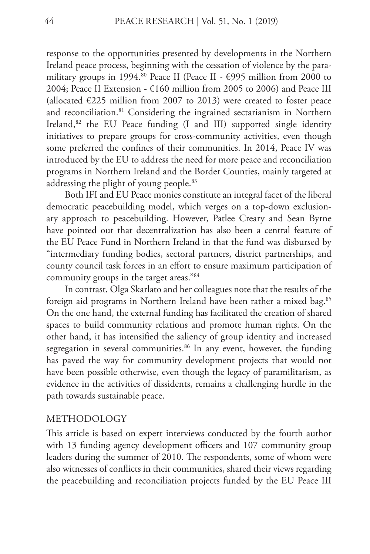response to the opportunities presented by developments in the Northern Ireland peace process, beginning with the cessation of violence by the paramilitary groups in 1994.<sup>80</sup> Peace II (Peace II -  $\epsilon$ 995 million from 2000 to 2004; Peace II Extension -  $\epsilon$ 160 million from 2005 to 2006) and Peace III (allocated  $E225$  million from 2007 to 2013) were created to foster peace and reconciliation.<sup>81</sup> Considering the ingrained sectarianism in Northern Ireland, $82$  the EU Peace funding (I and III) supported single identity initiatives to prepare groups for cross-community activities, even though some preferred the confines of their communities. In 2014, Peace IV was introduced by the EU to address the need for more peace and reconciliation programs in Northern Ireland and the Border Counties, mainly targeted at addressing the plight of young people.<sup>83</sup>

Both IFI and EU Peace monies constitute an integral facet of the liberal democratic peacebuilding model, which verges on a top-down exclusionary approach to peacebuilding. However, Patlee Creary and Sean Byrne have pointed out that decentralization has also been a central feature of the EU Peace Fund in Northern Ireland in that the fund was disbursed by "intermediary funding bodies, sectoral partners, district partnerships, and county council task forces in an effort to ensure maximum participation of community groups in the target areas."84

In contrast, Olga Skarlato and her colleagues note that the results of the foreign aid programs in Northern Ireland have been rather a mixed bag.<sup>85</sup> On the one hand, the external funding has facilitated the creation of shared spaces to build community relations and promote human rights. On the other hand, it has intensified the saliency of group identity and increased segregation in several communities.<sup>86</sup> In any event, however, the funding has paved the way for community development projects that would not have been possible otherwise, even though the legacy of paramilitarism, as evidence in the activities of dissidents, remains a challenging hurdle in the path towards sustainable peace.

#### METHODOLOGY

This article is based on expert interviews conducted by the fourth author with 13 funding agency development officers and 107 community group leaders during the summer of 2010. The respondents, some of whom were also witnesses of conflicts in their communities, shared their views regarding the peacebuilding and reconciliation projects funded by the EU Peace III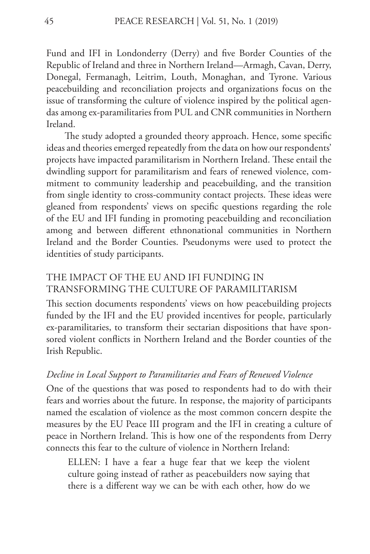Fund and IFI in Londonderry (Derry) and five Border Counties of the Republic of Ireland and three in Northern Ireland—Armagh, Cavan, Derry, Donegal, Fermanagh, Leitrim, Louth, Monaghan, and Tyrone. Various peacebuilding and reconciliation projects and organizations focus on the issue of transforming the culture of violence inspired by the political agendas among ex-paramilitaries from PUL and CNR communities in Northern Ireland.

The study adopted a grounded theory approach. Hence, some specific ideas and theories emerged repeatedly from the data on how our respondents' projects have impacted paramilitarism in Northern Ireland. These entail the dwindling support for paramilitarism and fears of renewed violence, commitment to community leadership and peacebuilding, and the transition from single identity to cross-community contact projects. These ideas were gleaned from respondents' views on specific questions regarding the role of the EU and IFI funding in promoting peacebuilding and reconciliation among and between different ethnonational communities in Northern Ireland and the Border Counties. Pseudonyms were used to protect the identities of study participants.

# THE IMPACT OF THE EU AND IFI FUNDING IN TRANSFORMING THE CULTURE OF PARAMILITARISM

This section documents respondents' views on how peacebuilding projects funded by the IFI and the EU provided incentives for people, particularly ex-paramilitaries, to transform their sectarian dispositions that have sponsored violent conflicts in Northern Ireland and the Border counties of the Irish Republic.

## *Decline in Local Support to Paramilitaries and Fears of Renewed Violence*

One of the questions that was posed to respondents had to do with their fears and worries about the future. In response, the majority of participants named the escalation of violence as the most common concern despite the measures by the EU Peace III program and the IFI in creating a culture of peace in Northern Ireland. This is how one of the respondents from Derry connects this fear to the culture of violence in Northern Ireland:

ELLEN: I have a fear a huge fear that we keep the violent culture going instead of rather as peacebuilders now saying that there is a different way we can be with each other, how do we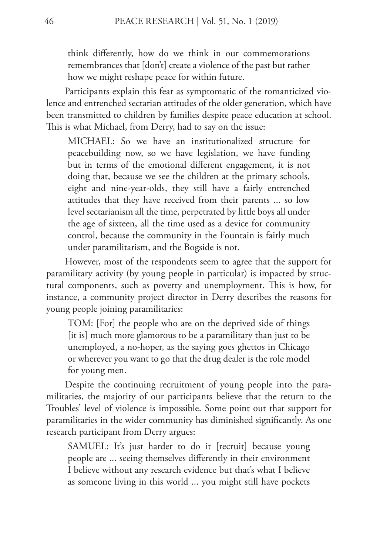think differently, how do we think in our commemorations remembrances that [don't] create a violence of the past but rather how we might reshape peace for within future.

Participants explain this fear as symptomatic of the romanticized violence and entrenched sectarian attitudes of the older generation, which have been transmitted to children by families despite peace education at school. This is what Michael, from Derry, had to say on the issue:

MICHAEL: So we have an institutionalized structure for peacebuilding now, so we have legislation, we have funding but in terms of the emotional different engagement, it is not doing that, because we see the children at the primary schools, eight and nine-year-olds, they still have a fairly entrenched attitudes that they have received from their parents ... so low level sectarianism all the time, perpetrated by little boys all under the age of sixteen, all the time used as a device for community control, because the community in the Fountain is fairly much under paramilitarism, and the Bogside is not.

However, most of the respondents seem to agree that the support for paramilitary activity (by young people in particular) is impacted by structural components, such as poverty and unemployment. This is how, for instance, a community project director in Derry describes the reasons for young people joining paramilitaries:

TOM: [For] the people who are on the deprived side of things [it is] much more glamorous to be a paramilitary than just to be unemployed, a no-hoper, as the saying goes ghettos in Chicago or wherever you want to go that the drug dealer is the role model for young men.

Despite the continuing recruitment of young people into the paramilitaries, the majority of our participants believe that the return to the Troubles' level of violence is impossible. Some point out that support for paramilitaries in the wider community has diminished significantly. As one research participant from Derry argues:

SAMUEL: It's just harder to do it [recruit] because young people are ... seeing themselves differently in their environment I believe without any research evidence but that's what I believe as someone living in this world ... you might still have pockets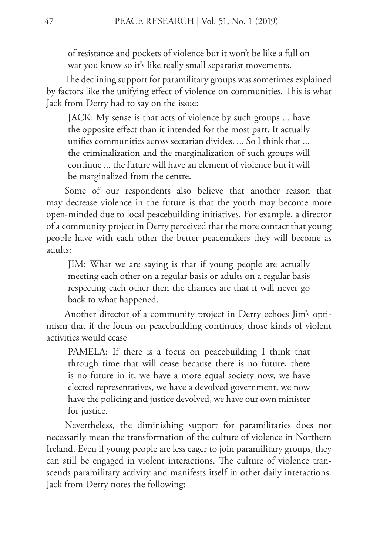of resistance and pockets of violence but it won't be like a full on war you know so it's like really small separatist movements.

The declining support for paramilitary groups was sometimes explained by factors like the unifying effect of violence on communities. This is what Jack from Derry had to say on the issue:

JACK: My sense is that acts of violence by such groups ... have the opposite effect than it intended for the most part. It actually unifies communities across sectarian divides. ... So I think that ... the criminalization and the marginalization of such groups will continue ... the future will have an element of violence but it will be marginalized from the centre.

Some of our respondents also believe that another reason that may decrease violence in the future is that the youth may become more open-minded due to local peacebuilding initiatives. For example, a director of a community project in Derry perceived that the more contact that young people have with each other the better peacemakers they will become as adults:

JIM: What we are saying is that if young people are actually meeting each other on a regular basis or adults on a regular basis respecting each other then the chances are that it will never go back to what happened.

Another director of a community project in Derry echoes Jim's optimism that if the focus on peacebuilding continues, those kinds of violent activities would cease

PAMELA: If there is a focus on peacebuilding I think that through time that will cease because there is no future, there is no future in it, we have a more equal society now, we have elected representatives, we have a devolved government, we now have the policing and justice devolved, we have our own minister for justice.

Nevertheless, the diminishing support for paramilitaries does not necessarily mean the transformation of the culture of violence in Northern Ireland. Even if young people are less eager to join paramilitary groups, they can still be engaged in violent interactions. The culture of violence transcends paramilitary activity and manifests itself in other daily interactions. Jack from Derry notes the following: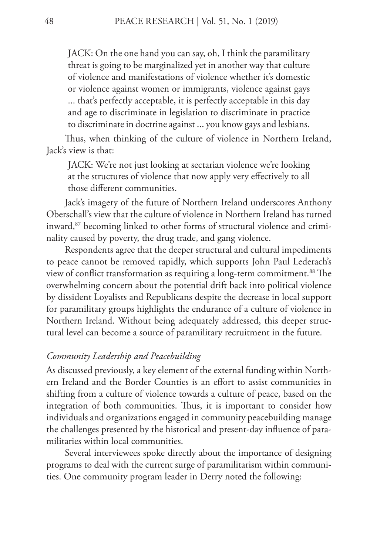JACK: On the one hand you can say, oh, I think the paramilitary threat is going to be marginalized yet in another way that culture of violence and manifestations of violence whether it's domestic or violence against women or immigrants, violence against gays ... that's perfectly acceptable, it is perfectly acceptable in this day and age to discriminate in legislation to discriminate in practice to discriminate in doctrine against ... you know gays and lesbians.

Thus, when thinking of the culture of violence in Northern Ireland, Jack's view is that:

JACK: We're not just looking at sectarian violence we're looking at the structures of violence that now apply very effectively to all those different communities.

Jack's imagery of the future of Northern Ireland underscores Anthony Oberschall's view that the culture of violence in Northern Ireland has turned inward,<sup>87</sup> becoming linked to other forms of structural violence and criminality caused by poverty, the drug trade, and gang violence.

Respondents agree that the deeper structural and cultural impediments to peace cannot be removed rapidly, which supports John Paul Lederach's view of conflict transformation as requiring a long-term commitment.<sup>88</sup> The overwhelming concern about the potential drift back into political violence by dissident Loyalists and Republicans despite the decrease in local support for paramilitary groups highlights the endurance of a culture of violence in Northern Ireland. Without being adequately addressed, this deeper structural level can become a source of paramilitary recruitment in the future.

# *Community Leadership and Peacebuilding*

As discussed previously, a key element of the external funding within Northern Ireland and the Border Counties is an effort to assist communities in shifting from a culture of violence towards a culture of peace, based on the integration of both communities. Thus, it is important to consider how individuals and organizations engaged in community peacebuilding manage the challenges presented by the historical and present-day influence of paramilitaries within local communities.

Several interviewees spoke directly about the importance of designing programs to deal with the current surge of paramilitarism within communities. One community program leader in Derry noted the following: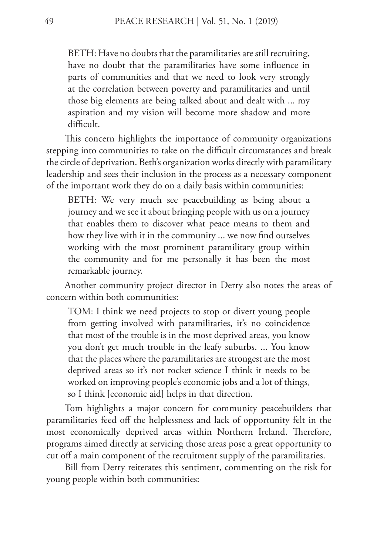BETH: Have no doubts that the paramilitaries are still recruiting, have no doubt that the paramilitaries have some influence in parts of communities and that we need to look very strongly at the correlation between poverty and paramilitaries and until those big elements are being talked about and dealt with ... my aspiration and my vision will become more shadow and more difficult.

This concern highlights the importance of community organizations stepping into communities to take on the difficult circumstances and break the circle of deprivation. Beth's organization works directly with paramilitary leadership and sees their inclusion in the process as a necessary component of the important work they do on a daily basis within communities:

BETH: We very much see peacebuilding as being about a journey and we see it about bringing people with us on a journey that enables them to discover what peace means to them and how they live with it in the community ... we now find ourselves working with the most prominent paramilitary group within the community and for me personally it has been the most remarkable journey.

Another community project director in Derry also notes the areas of concern within both communities:

TOM: I think we need projects to stop or divert young people from getting involved with paramilitaries, it's no coincidence that most of the trouble is in the most deprived areas, you know you don't get much trouble in the leafy suburbs. ... You know that the places where the paramilitaries are strongest are the most deprived areas so it's not rocket science I think it needs to be worked on improving people's economic jobs and a lot of things, so I think [economic aid] helps in that direction.

Tom highlights a major concern for community peacebuilders that paramilitaries feed off the helplessness and lack of opportunity felt in the most economically deprived areas within Northern Ireland. Therefore, programs aimed directly at servicing those areas pose a great opportunity to cut off a main component of the recruitment supply of the paramilitaries.

Bill from Derry reiterates this sentiment, commenting on the risk for young people within both communities: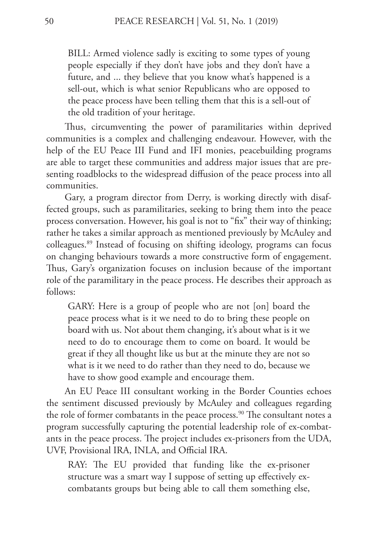BILL: Armed violence sadly is exciting to some types of young people especially if they don't have jobs and they don't have a future, and ... they believe that you know what's happened is a sell-out, which is what senior Republicans who are opposed to the peace process have been telling them that this is a sell-out of the old tradition of your heritage.

Thus, circumventing the power of paramilitaries within deprived communities is a complex and challenging endeavour. However, with the help of the EU Peace III Fund and IFI monies, peacebuilding programs are able to target these communities and address major issues that are presenting roadblocks to the widespread diffusion of the peace process into all communities.

Gary, a program director from Derry, is working directly with disaffected groups, such as paramilitaries, seeking to bring them into the peace process conversation. However, his goal is not to "fix" their way of thinking; rather he takes a similar approach as mentioned previously by McAuley and colleagues.89 Instead of focusing on shifting ideology, programs can focus on changing behaviours towards a more constructive form of engagement. Thus, Gary's organization focuses on inclusion because of the important role of the paramilitary in the peace process. He describes their approach as follows:

GARY: Here is a group of people who are not [on] board the peace process what is it we need to do to bring these people on board with us. Not about them changing, it's about what is it we need to do to encourage them to come on board. It would be great if they all thought like us but at the minute they are not so what is it we need to do rather than they need to do, because we have to show good example and encourage them.

An EU Peace III consultant working in the Border Counties echoes the sentiment discussed previously by McAuley and colleagues regarding the role of former combatants in the peace process.<sup>90</sup> The consultant notes a program successfully capturing the potential leadership role of ex-combatants in the peace process. The project includes ex-prisoners from the UDA, UVF, Provisional IRA, INLA, and Official IRA.

RAY: The EU provided that funding like the ex-prisoner structure was a smart way I suppose of setting up effectively excombatants groups but being able to call them something else,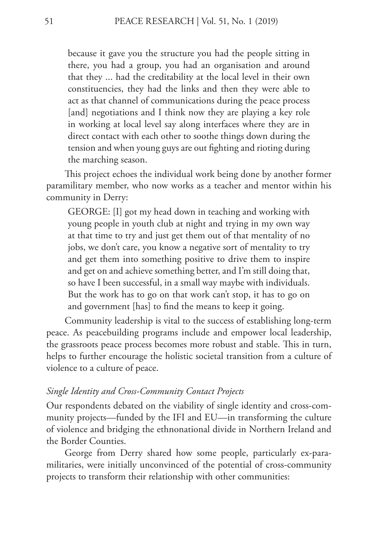because it gave you the structure you had the people sitting in there, you had a group, you had an organisation and around that they ... had the creditability at the local level in their own constituencies, they had the links and then they were able to act as that channel of communications during the peace process [and] negotiations and I think now they are playing a key role in working at local level say along interfaces where they are in direct contact with each other to soothe things down during the tension and when young guys are out fighting and rioting during the marching season.

This project echoes the individual work being done by another former paramilitary member, who now works as a teacher and mentor within his community in Derry:

GEORGE: [I] got my head down in teaching and working with young people in youth club at night and trying in my own way at that time to try and just get them out of that mentality of no jobs, we don't care, you know a negative sort of mentality to try and get them into something positive to drive them to inspire and get on and achieve something better, and I'm still doing that, so have I been successful, in a small way maybe with individuals. But the work has to go on that work can't stop, it has to go on and government [has] to find the means to keep it going.

Community leadership is vital to the success of establishing long-term peace. As peacebuilding programs include and empower local leadership, the grassroots peace process becomes more robust and stable. This in turn, helps to further encourage the holistic societal transition from a culture of violence to a culture of peace.

# *Single Identity and Cross-Community Contact Projects*

Our respondents debated on the viability of single identity and cross-community projects—funded by the IFI and EU—in transforming the culture of violence and bridging the ethnonational divide in Northern Ireland and the Border Counties.

George from Derry shared how some people, particularly ex-paramilitaries, were initially unconvinced of the potential of cross-community projects to transform their relationship with other communities: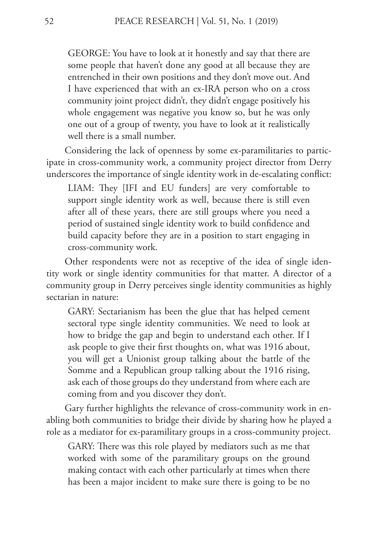GEORGE: You have to look at it honestly and say that there are some people that haven't done any good at all because they are entrenched in their own positions and they don't move out. And I have experienced that with an ex-IRA person who on a cross community joint project didn't, they didn't engage positively his whole engagement was negative you know so, but he was only one out of a group of twenty, you have to look at it realistically well there is a small number.

Considering the lack of openness by some ex-paramilitaries to participate in cross-community work, a community project director from Derry underscores the importance of single identity work in de-escalating conflict:

LIAM: They [IFI and EU funders] are very comfortable to support single identity work as well, because there is still even after all of these years, there are still groups where you need a period of sustained single identity work to build confidence and build capacity before they are in a position to start engaging in cross-community work.

Other respondents were not as receptive of the idea of single identity work or single identity communities for that matter. A director of a community group in Derry perceives single identity communities as highly sectarian in nature:

GARY: Sectarianism has been the glue that has helped cement sectoral type single identity communities. We need to look at how to bridge the gap and begin to understand each other. If I ask people to give their first thoughts on, what was 1916 about, you will get a Unionist group talking about the battle of the Somme and a Republican group talking about the 1916 rising, ask each of those groups do they understand from where each are coming from and you discover they don't.

Gary further highlights the relevance of cross-community work in enabling both communities to bridge their divide by sharing how he played a role as a mediator for ex-paramilitary groups in a cross-community project.

GARY: There was this role played by mediators such as me that worked with some of the paramilitary groups on the ground making contact with each other particularly at times when there has been a major incident to make sure there is going to be no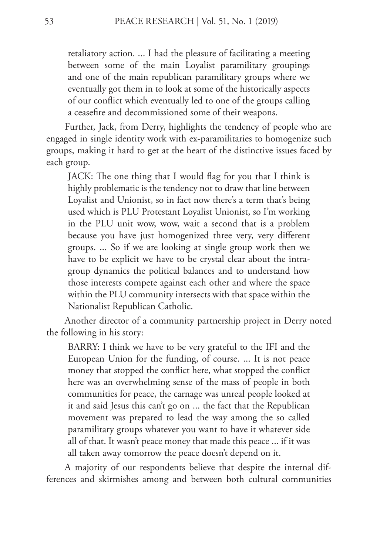retaliatory action. ... I had the pleasure of facilitating a meeting between some of the main Loyalist paramilitary groupings and one of the main republican paramilitary groups where we eventually got them in to look at some of the historically aspects of our conflict which eventually led to one of the groups calling a ceasefire and decommissioned some of their weapons.

Further, Jack, from Derry, highlights the tendency of people who are engaged in single identity work with ex-paramilitaries to homogenize such groups, making it hard to get at the heart of the distinctive issues faced by each group.

JACK: The one thing that I would flag for you that I think is highly problematic is the tendency not to draw that line between Loyalist and Unionist, so in fact now there's a term that's being used which is PLU Protestant Loyalist Unionist, so I'm working in the PLU unit wow, wow, wait a second that is a problem because you have just homogenized three very, very different groups. ... So if we are looking at single group work then we have to be explicit we have to be crystal clear about the intragroup dynamics the political balances and to understand how those interests compete against each other and where the space within the PLU community intersects with that space within the Nationalist Republican Catholic.

Another director of a community partnership project in Derry noted the following in his story:

BARRY: I think we have to be very grateful to the IFI and the European Union for the funding, of course. ... It is not peace money that stopped the conflict here, what stopped the conflict here was an overwhelming sense of the mass of people in both communities for peace, the carnage was unreal people looked at it and said Jesus this can't go on ... the fact that the Republican movement was prepared to lead the way among the so called paramilitary groups whatever you want to have it whatever side all of that. It wasn't peace money that made this peace ... if it was all taken away tomorrow the peace doesn't depend on it.

A majority of our respondents believe that despite the internal differences and skirmishes among and between both cultural communities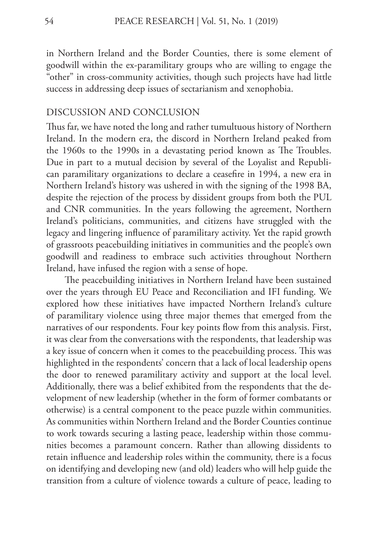in Northern Ireland and the Border Counties, there is some element of goodwill within the ex-paramilitary groups who are willing to engage the "other" in cross-community activities, though such projects have had little success in addressing deep issues of sectarianism and xenophobia.

#### DISCUSSION AND CONCLUSION

Thus far, we have noted the long and rather tumultuous history of Northern Ireland. In the modern era, the discord in Northern Ireland peaked from the 1960s to the 1990s in a devastating period known as The Troubles. Due in part to a mutual decision by several of the Loyalist and Republican paramilitary organizations to declare a ceasefire in 1994, a new era in Northern Ireland's history was ushered in with the signing of the 1998 BA, despite the rejection of the process by dissident groups from both the PUL and CNR communities. In the years following the agreement, Northern Ireland's politicians, communities, and citizens have struggled with the legacy and lingering influence of paramilitary activity. Yet the rapid growth of grassroots peacebuilding initiatives in communities and the people's own goodwill and readiness to embrace such activities throughout Northern Ireland, have infused the region with a sense of hope.

The peacebuilding initiatives in Northern Ireland have been sustained over the years through EU Peace and Reconciliation and IFI funding. We explored how these initiatives have impacted Northern Ireland's culture of paramilitary violence using three major themes that emerged from the narratives of our respondents. Four key points flow from this analysis. First, it was clear from the conversations with the respondents, that leadership was a key issue of concern when it comes to the peacebuilding process. This was highlighted in the respondents' concern that a lack of local leadership opens the door to renewed paramilitary activity and support at the local level. Additionally, there was a belief exhibited from the respondents that the development of new leadership (whether in the form of former combatants or otherwise) is a central component to the peace puzzle within communities. As communities within Northern Ireland and the Border Counties continue to work towards securing a lasting peace, leadership within those communities becomes a paramount concern. Rather than allowing dissidents to retain influence and leadership roles within the community, there is a focus on identifying and developing new (and old) leaders who will help guide the transition from a culture of violence towards a culture of peace, leading to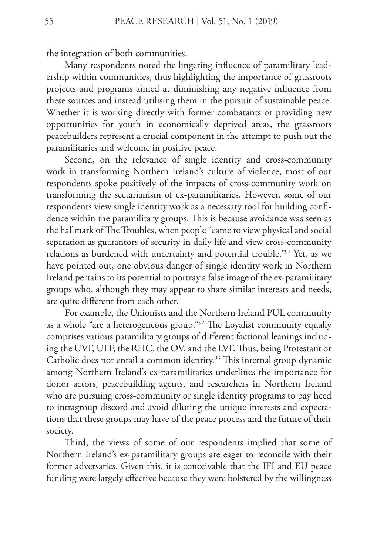the integration of both communities.

Many respondents noted the lingering influence of paramilitary leadership within communities, thus highlighting the importance of grassroots projects and programs aimed at diminishing any negative influence from these sources and instead utilising them in the pursuit of sustainable peace. Whether it is working directly with former combatants or providing new opportunities for youth in economically deprived areas, the grassroots peacebuilders represent a crucial component in the attempt to push out the paramilitaries and welcome in positive peace.

Second, on the relevance of single identity and cross-community work in transforming Northern Ireland's culture of violence, most of our respondents spoke positively of the impacts of cross-community work on transforming the sectarianism of ex-paramilitaries. However, some of our respondents view single identity work as a necessary tool for building confidence within the paramilitary groups. This is because avoidance was seen as the hallmark of The Troubles, when people "came to view physical and social separation as guarantors of security in daily life and view cross-community relations as burdened with uncertainty and potential trouble."91 Yet, as we have pointed out, one obvious danger of single identity work in Northern Ireland pertains to its potential to portray a false image of the ex-paramilitary groups who, although they may appear to share similar interests and needs, are quite different from each other.

For example, the Unionists and the Northern Ireland PUL community as a whole "are a heterogeneous group."92 The Loyalist community equally comprises various paramilitary groups of different factional leanings including the UVF, UFF, the RHC, the OV, and the LVF. Thus, being Protestant or Catholic does not entail a common identity.<sup>93</sup> This internal group dynamic among Northern Ireland's ex-paramilitaries underlines the importance for donor actors, peacebuilding agents, and researchers in Northern Ireland who are pursuing cross-community or single identity programs to pay heed to intragroup discord and avoid diluting the unique interests and expectations that these groups may have of the peace process and the future of their society.

Third, the views of some of our respondents implied that some of Northern Ireland's ex-paramilitary groups are eager to reconcile with their former adversaries. Given this, it is conceivable that the IFI and EU peace funding were largely effective because they were bolstered by the willingness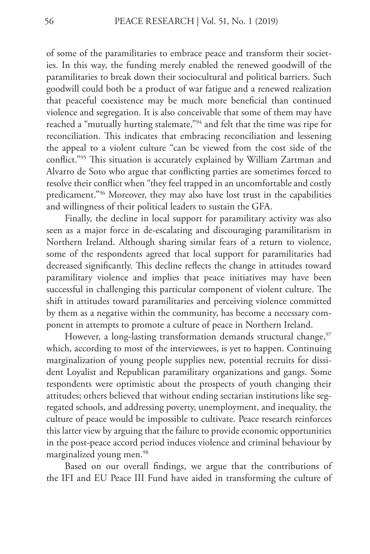of some of the paramilitaries to embrace peace and transform their societies. In this way, the funding merely enabled the renewed goodwill of the paramilitaries to break down their sociocultural and political barriers. Such goodwill could both be a product of war fatigue and a renewed realization that peaceful coexistence may be much more beneficial than continued violence and segregation. It is also conceivable that some of them may have reached a "mutually hurting stalemate,"94 and felt that the time was ripe for reconciliation. This indicates that embracing reconciliation and lessening the appeal to a violent culture "can be viewed from the cost side of the conflict."95 This situation is accurately explained by William Zartman and Alvarro de Soto who argue that conflicting parties are sometimes forced to resolve their conflict when "they feel trapped in an uncomfortable and costly predicament."96 Moreover, they may also have lost trust in the capabilities and willingness of their political leaders to sustain the GFA.

Finally, the decline in local support for paramilitary activity was also seen as a major force in de-escalating and discouraging paramilitarism in Northern Ireland. Although sharing similar fears of a return to violence, some of the respondents agreed that local support for paramilitaries had decreased significantly. This decline reflects the change in attitudes toward paramilitary violence and implies that peace initiatives may have been successful in challenging this particular component of violent culture. The shift in attitudes toward paramilitaries and perceiving violence committed by them as a negative within the community, has become a necessary component in attempts to promote a culture of peace in Northern Ireland.

However, a long-lasting transformation demands structural change,<sup>97</sup> which, according to most of the interviewees, is yet to happen. Continuing marginalization of young people supplies new, potential recruits for dissident Loyalist and Republican paramilitary organizations and gangs. Some respondents were optimistic about the prospects of youth changing their attitudes; others believed that without ending sectarian institutions like segregated schools, and addressing poverty, unemployment, and inequality, the culture of peace would be impossible to cultivate. Peace research reinforces this latter view by arguing that the failure to provide economic opportunities in the post-peace accord period induces violence and criminal behaviour by marginalized young men.98

Based on our overall findings, we argue that the contributions of the IFI and EU Peace III Fund have aided in transforming the culture of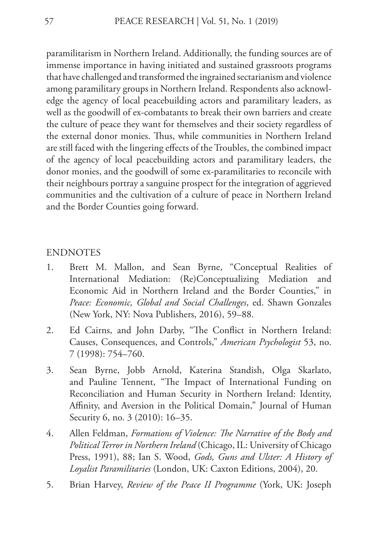paramilitarism in Northern Ireland. Additionally, the funding sources are of immense importance in having initiated and sustained grassroots programs that have challenged and transformed the ingrained sectarianism and violence among paramilitary groups in Northern Ireland. Respondents also acknowledge the agency of local peacebuilding actors and paramilitary leaders, as well as the goodwill of ex-combatants to break their own barriers and create the culture of peace they want for themselves and their society regardless of the external donor monies. Thus, while communities in Northern Ireland are still faced with the lingering effects of the Troubles, the combined impact of the agency of local peacebuilding actors and paramilitary leaders, the donor monies, and the goodwill of some ex-paramilitaries to reconcile with their neighbours portray a sanguine prospect for the integration of aggrieved communities and the cultivation of a culture of peace in Northern Ireland and the Border Counties going forward.

#### **ENDNOTES**

- 1. Brett M. Mallon, and Sean Byrne, "Conceptual Realities of International Mediation: (Re)Conceptualizing Mediation and Economic Aid in Northern Ireland and the Border Counties," in *Peace: Economic, Global and Social Challenges*, ed. Shawn Gonzales (New York, NY: Nova Publishers, 2016), 59–88.
- 2. Ed Cairns, and John Darby, "The Conflict in Northern Ireland: Causes, Consequences, and Controls," *American Psychologist* 53, no. 7 (1998): 754–760.
- 3. Sean Byrne, Jobb Arnold, Katerina Standish, Olga Skarlato, and Pauline Tennent, "The Impact of International Funding on Reconciliation and Human Security in Northern Ireland: Identity, Affinity, and Aversion in the Political Domain," Journal of Human Security 6, no. 3 (2010): 16-35.
- 4. Allen Feldman, *Formations of Violence: The Narrative of the Body and Political Terror in Northern Ireland* (Chicago, IL: University of Chicago Press, 1991), 88; Ian S. Wood, *Gods, Guns and Ulster: A History of Loyalist Paramilitaries* (London, UK: Caxton Editions, 2004), 20.
- 5. Brian Harvey, *Review of the Peace II Programme* (York, UK: Joseph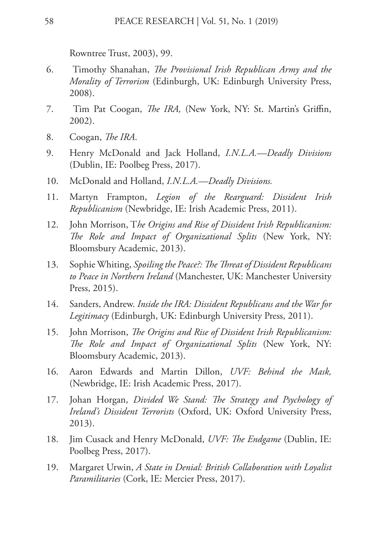Rowntree Trust, 2003), 99.

- 6. Timothy Shanahan, *The Provisional Irish Republican Army and the Morality of Terrorism* (Edinburgh, UK: Edinburgh University Press, 2008).
- 7. Tim Pat Coogan, *The IRA,* (New York, NY: St. Martin's Griffin, 2002).
- 8. Coogan, *The IRA*.
- 9. Henry McDonald and Jack Holland, *I.N.L.A.—Deadly Divisions*  (Dublin, IE: Poolbeg Press, 2017).
- 10. McDonald and Holland, *I.N.L.A.—Deadly Divisions.*
- 11. Martyn Frampton, *Legion of the Rearguard: Dissident Irish Republicanism* (Newbridge, IE: Irish Academic Press, 2011).
- 12. John Morrison, T*he Origins and Rise of Dissident Irish Republicanism: The Role and Impact of Organizational Splits* (New York, NY: Bloomsbury Academic, 2013).
- 13. Sophie Whiting, *Spoiling the Peace?: The Threat of Dissident Republicans to Peace in Northern Ireland* (Manchester, UK: Manchester University Press, 2015).
- 14. Sanders, Andrew. *Inside the IRA: Dissident Republicans and the War for Legitimacy* (Edinburgh, UK: Edinburgh University Press, 2011).
- 15. John Morrison, *The Origins and Rise of Dissident Irish Republicanism: The Role and Impact of Organizational Splits* (New York, NY: Bloomsbury Academic, 2013).
- 16. Aaron Edwards and Martin Dillon, *UVF: Behind the Mask,*  (Newbridge, IE: Irish Academic Press, 2017).
- 17. Johan Horgan, *Divided We Stand: The Strategy and Psychology of Ireland's Dissident Terrorists* (Oxford, UK: Oxford University Press, 2013).
- 18. Jim Cusack and Henry McDonald, *UVF: The Endgame* (Dublin, IE: Poolbeg Press, 2017).
- 19. Margaret Urwin, *A State in Denial: British Collaboration with Loyalist Paramilitaries* (Cork, IE: Mercier Press, 2017).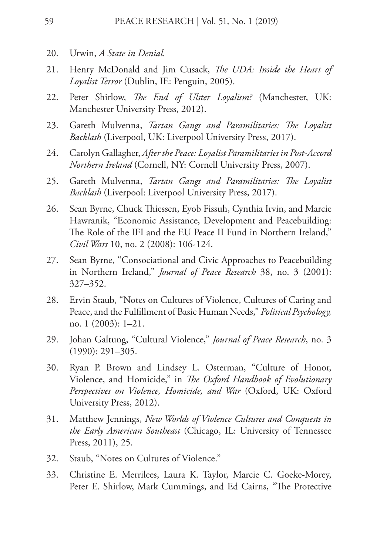- 20. Urwin, *A State in Denial.*
- 21. Henry McDonald and Jim Cusack, *The UDA: Inside the Heart of Loyalist Terror* (Dublin, IE: Penguin, 2005).
- 22. Peter Shirlow, *The End of Ulster Loyalism?* (Manchester, UK: Manchester University Press, 2012).
- 23. Gareth Mulvenna, *Tartan Gangs and Paramilitaries: The Loyalist Backlash* (Liverpool, UK: Liverpool University Press, 2017).
- 24. Carolyn Gallagher, *After the Peace: Loyalist Paramilitaries in Post-Accord Northern Ireland* (Cornell, NY: Cornell University Press, 2007).
- 25. Gareth Mulvenna, *Tartan Gangs and Paramilitaries: The Loyalist Backlash* (Liverpool: Liverpool University Press, 2017).
- 26. Sean Byrne, Chuck Thiessen, Eyob Fissuh, Cynthia Irvin, and Marcie Hawranik, "Economic Assistance, Development and Peacebuilding: The Role of the IFI and the EU Peace II Fund in Northern Ireland," *Civil Wars* 10, no. 2 (2008): 106-124.
- 27. Sean Byrne, "Consociational and Civic Approaches to Peacebuilding in Northern Ireland," *Journal of Peace Research* 38, no. 3 (2001): 327–352.
- 28. Ervin Staub, "Notes on Cultures of Violence, Cultures of Caring and Peace, and the Fulfillment of Basic Human Needs," *Political Psychology,* no. 1 (2003): 1–21.
- 29. Johan Galtung, "Cultural Violence," *Journal of Peace Research*, no. 3 (1990): 291–305.
- 30. Ryan P. Brown and Lindsey L. Osterman, "Culture of Honor, Violence, and Homicide," in *The Oxford Handbook of Evolutionary Perspectives on Violence, Homicide, and War* (Oxford, UK: Oxford University Press, 2012).
- 31. Matthew Jennings, *New Worlds of Violence Cultures and Conquests in the Early American Southeast* (Chicago, IL: University of Tennessee Press, 2011), 25.
- 32. Staub, "Notes on Cultures of Violence."
- 33. Christine E. Merrilees, Laura K. Taylor, Marcie C. Goeke-Morey, Peter E. Shirlow, Mark Cummings, and Ed Cairns, "The Protective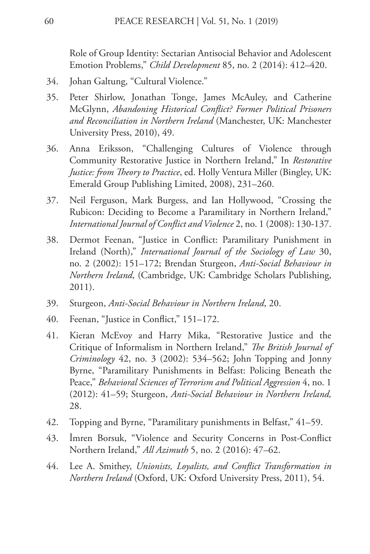Role of Group Identity: Sectarian Antisocial Behavior and Adolescent Emotion Problems," *Child Development* 85, no. 2 (2014): 412–420.

- 34. Johan Galtung, "Cultural Violence."
- 35. Peter Shirlow, Jonathan Tonge, James McAuley, and Catherine McGlynn, *Abandoning Historical Conflict? Former Political Prisoners and Reconciliation in Northern Ireland* (Manchester, UK: Manchester University Press, 2010), 49.
- 36. Anna Eriksson, "Challenging Cultures of Violence through Community Restorative Justice in Northern Ireland," In *Restorative Justice: from Theory to Practice*, ed. Holly Ventura Miller (Bingley, UK: Emerald Group Publishing Limited, 2008), 231–260.
- 37. Neil Ferguson, Mark Burgess, and Ian Hollywood, "Crossing the Rubicon: Deciding to Become a Paramilitary in Northern Ireland," *International Journal of Conflict and Violence* 2, no. 1 (2008): 130-137.
- 38. Dermot Feenan, "Justice in Conflict: Paramilitary Punishment in Ireland (North)," *International Journal of the Sociology of Law* 30, no. 2 (2002): 151–172; Brendan Sturgeon, *Anti-Social Behaviour in Northern Ireland*, (Cambridge, UK: Cambridge Scholars Publishing, 2011).
- 39. Sturgeon, *Anti-Social Behaviour in Northern Ireland*, 20.
- 40. Feenan, "Justice in Conflict," 151–172.
- 41. Kieran McEvoy and Harry Mika, "Restorative Justice and the Critique of Informalism in Northern Ireland," *The British Journal of Criminology* 42, no. 3 (2002): 534–562; John Topping and Jonny Byrne, "Paramilitary Punishments in Belfast: Policing Beneath the Peace," *Behavioral Sciences of Terrorism and Political Aggression* 4, no. 1 (2012): 41–59; Sturgeon, *Anti-Social Behaviour in Northern Ireland,*  28.
- 42. Topping and Byrne, "Paramilitary punishments in Belfast," 41–59.
- 43. İmren Borsuk, "Violence and Security Concerns in Post-Conflict Northern Ireland," *All Azimuth* 5, no. 2 (2016): 47–62.
- 44. Lee A. Smithey, *Unionists, Loyalists, and Conflict Transformation in Northern Ireland* (Oxford, UK: Oxford University Press, 2011), 54.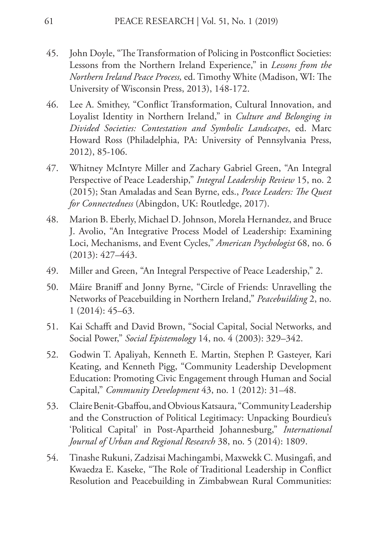- 45. John Doyle, "The Transformation of Policing in Postconflict Societies: Lessons from the Northern Ireland Experience," in *Lessons from the Northern Ireland Peace Process,* ed. Timothy White (Madison, WI: The University of Wisconsin Press, 2013), 148-172.
- 46. Lee A. Smithey, "Conflict Transformation, Cultural Innovation, and Loyalist Identity in Northern Ireland," in *Culture and Belonging in Divided Societies: Contestation and Symbolic Landscapes*, ed. Marc Howard Ross (Philadelphia, PA: University of Pennsylvania Press, 2012), 85-106.
- 47. Whitney McIntyre Miller and Zachary Gabriel Green, "An Integral Perspective of Peace Leadership," *Integral Leadership Review* 15, no. 2 (2015); Stan Amaladas and Sean Byrne, eds., *Peace Leaders: The Quest for Connectedness* (Abingdon, UK: Routledge, 2017).
- 48. Marion B. Eberly, Michael D. Johnson, Morela Hernandez, and Bruce J. Avolio, "An Integrative Process Model of Leadership: Examining Loci, Mechanisms, and Event Cycles," *American Psychologist* 68, no. 6 (2013): 427–443.
- 49. Miller and Green, "An Integral Perspective of Peace Leadership," 2.
- 50. Máire Braniff and Jonny Byrne, "Circle of Friends: Unravelling the Networks of Peacebuilding in Northern Ireland," *Peacebuilding* 2, no. 1 (2014): 45–63.
- 51. Kai Schafft and David Brown, "Social Capital, Social Networks, and Social Power," *Social Epistemology* 14, no. 4 (2003): 329–342.
- 52. Godwin T. Apaliyah, Kenneth E. Martin, Stephen P. Gasteyer, Kari Keating, and Kenneth Pigg, "Community Leadership Development Education: Promoting Civic Engagement through Human and Social Capital," *Community Development* 43, no. 1 (2012): 31–48.
- 53. Claire Benit-Gbaffou, and Obvious Katsaura, "Community Leadership and the Construction of Political Legitimacy: Unpacking Bourdieu's 'Political Capital' in Post-Apartheid Johannesburg," *International Journal of Urban and Regional Research* 38, no. 5 (2014): 1809.
- 54. Tinashe Rukuni, Zadzisai Machingambi, Maxwekk C. Musingafi, and Kwaedza E. Kaseke, "The Role of Traditional Leadership in Conflict Resolution and Peacebuilding in Zimbabwean Rural Communities: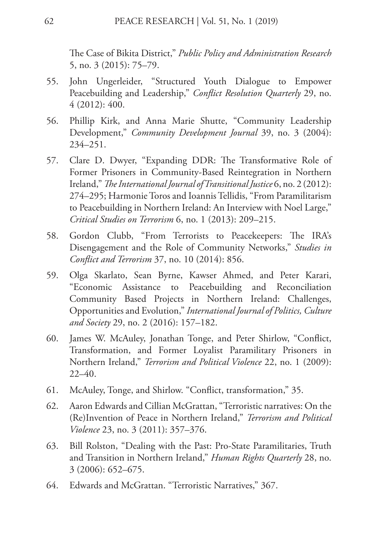The Case of Bikita District," *Public Policy and Administration Research*  5, no. 3 (2015): 75–79.

- 55. John Ungerleider, "Structured Youth Dialogue to Empower Peacebuilding and Leadership," *Conflict Resolution Quarterly* 29, no. 4 (2012): 400.
- 56. Phillip Kirk, and Anna Marie Shutte, "Community Leadership Development," *Community Development Journal* 39, no. 3 (2004): 234–251.
- 57. Clare D. Dwyer, "Expanding DDR: The Transformative Role of Former Prisoners in Community-Based Reintegration in Northern Ireland," *The International Journal of Transitional Justice* 6, no. 2 (2012): 274–295; Harmonie Toros and Ioannis Tellidis, "From Paramilitarism to Peacebuilding in Northern Ireland: An Interview with Noel Large," *Critical Studies on Terrorism* 6, no. 1 (2013): 209–215.
- 58. Gordon Clubb, "From Terrorists to Peacekeepers: The IRA's Disengagement and the Role of Community Networks," *Studies in Conflict and Terrorism* 37, no. 10 (2014): 856.
- 59. Olga Skarlato, Sean Byrne, Kawser Ahmed, and Peter Karari, "Economic Assistance to Peacebuilding and Reconciliation Community Based Projects in Northern Ireland: Challenges, Opportunities and Evolution," *International Journal of Politics, Culture and Society* 29, no. 2 (2016): 157–182.
- 60. James W. McAuley, Jonathan Tonge, and Peter Shirlow, "Conflict, Transformation, and Former Loyalist Paramilitary Prisoners in Northern Ireland," *Terrorism and Political Violence* 22, no. 1 (2009):  $22-40.$
- 61. McAuley, Tonge, and Shirlow. "Conflict, transformation," 35.
- 62. Aaron Edwards and Cillian McGrattan, "Terroristic narratives: On the (Re)Invention of Peace in Northern Ireland," *Terrorism and Political Violence* 23, no. 3 (2011): 357–376.
- 63. Bill Rolston, "Dealing with the Past: Pro-State Paramilitaries, Truth and Transition in Northern Ireland," *Human Rights Quarterly* 28, no. 3 (2006): 652–675.
- 64. Edwards and McGrattan. "Terroristic Narratives," 367.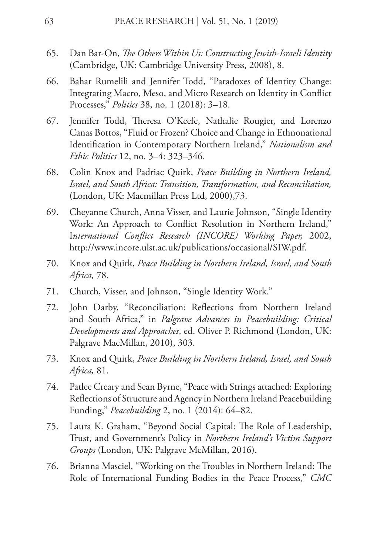- 65. Dan Bar-On, *The Others Within Us: Constructing Jewish-Israeli Identity* (Cambridge, UK: Cambridge University Press, 2008), 8.
- 66. Bahar Rumelili and Jennifer Todd, "Paradoxes of Identity Change: Integrating Macro, Meso, and Micro Research on Identity in Conflict Processes," *Politics* 38, no. 1 (2018): 3–18.
- 67. Jennifer Todd, Theresa O'Keefe, Nathalie Rougier, and Lorenzo Canas Bottos, "Fluid or Frozen? Choice and Change in Ethnonational Identification in Contemporary Northern Ireland," *Nationalism and Ethic Politics* 12, no. 3–4: 323–346.
- 68. Colin Knox and Padriac Quirk, *Peace Building in Northern Ireland, Israel, and South Africa: Transition, Transformation, and Reconciliation,* (London, UK: Macmillan Press Ltd, 2000),73.
- 69. Cheyanne Church, Anna Visser, and Laurie Johnson, "Single Identity Work: An Approach to Conflict Resolution in Northern Ireland," I*nternational Conflict Research (INCORE) Working Paper,* 2002, http://www.incore.ulst.ac.uk/publications/occasional/SIW.pdf.
- 70. Knox and Quirk, *Peace Building in Northern Ireland, Israel, and South Africa,* 78.
- 71. Church, Visser, and Johnson, "Single Identity Work."
- 72. John Darby, "Reconciliation: Reflections from Northern Ireland and South Africa," in *Palgrave Advances in Peacebuilding: Critical Developments and Approaches*, ed. Oliver P. Richmond (London, UK: Palgrave MacMillan, 2010), 303.
- 73. Knox and Quirk, *Peace Building in Northern Ireland, Israel, and South Africa,* 81.
- 74. Patlee Creary and Sean Byrne, "Peace with Strings attached: Exploring Reflections of Structure and Agency in Northern Ireland Peacebuilding Funding," *Peacebuilding* 2, no. 1 (2014): 64–82.
- 75. Laura K. Graham, "Beyond Social Capital: The Role of Leadership, Trust, and Government's Policy in *Northern Ireland's Victim Support Groups* (London, UK: Palgrave McMillan, 2016).
- 76. Brianna Masciel, "Working on the Troubles in Northern Ireland: The Role of International Funding Bodies in the Peace Process," *CMC*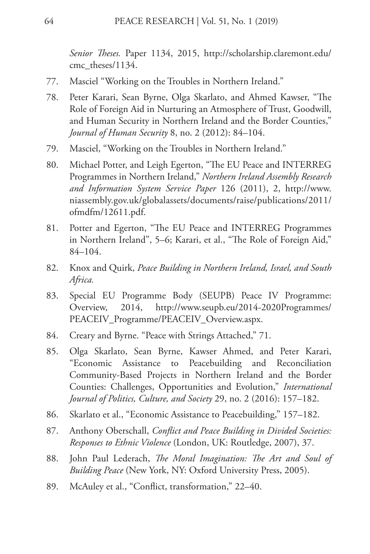*Senior Theses.* Paper 1134, 2015, http://scholarship.claremont.edu/ cmc\_theses/1134.

- 77. Masciel "Working on the Troubles in Northern Ireland."
- 78. Peter Karari, Sean Byrne, Olga Skarlato, and Ahmed Kawser, "The Role of Foreign Aid in Nurturing an Atmosphere of Trust, Goodwill, and Human Security in Northern Ireland and the Border Counties," *Journal of Human Security* 8, no. 2 (2012): 84–104.
- 79. Masciel, "Working on the Troubles in Northern Ireland."
- 80. Michael Potter, and Leigh Egerton, "The EU Peace and INTERREG Programmes in Northern Ireland," *Northern Ireland Assembly Research and Information System Service Paper* 126 (2011), 2, http://www. niassembly.gov.uk/globalassets/documents/raise/publications/2011/ ofmdfm/12611.pdf.
- 81. Potter and Egerton, "The EU Peace and INTERREG Programmes in Northern Ireland", 5–6; Karari, et al., "The Role of Foreign Aid," 84–104.
- 82. Knox and Quirk, *Peace Building in Northern Ireland, Israel, and South Africa.*
- 83. Special EU Programme Body (SEUPB) Peace IV Programme: Overview, 2014, http://www.seupb.eu/2014-2020Programmes/ PEACEIV\_Programme/PEACEIV\_Overview.aspx.
- 84. Creary and Byrne. "Peace with Strings Attached," 71.
- 85. Olga Skarlato, Sean Byrne, Kawser Ahmed, and Peter Karari, "Economic Assistance to Peacebuilding and Reconciliation Community-Based Projects in Northern Ireland and the Border Counties: Challenges, Opportunities and Evolution," *International Journal of Politics, Culture, and Society* 29, no. 2 (2016): 157–182.
- 86. Skarlato et al., "Economic Assistance to Peacebuilding," 157–182.
- 87. Anthony Oberschall, *Conflict and Peace Building in Divided Societies: Responses to Ethnic Violence* (London, UK: Routledge, 2007), 37.
- 88. John Paul Lederach, *The Moral Imagination: The Art and Soul of Building Peace* (New York, NY: Oxford University Press, 2005).
- 89. McAuley et al., "Conflict, transformation," 22–40.